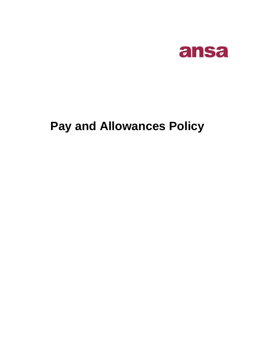

# **Pay and Allowances Policy**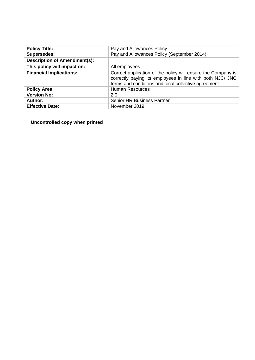| <b>Policy Title:</b>                | Pay and Allowances Policy                                                                                                                                                         |
|-------------------------------------|-----------------------------------------------------------------------------------------------------------------------------------------------------------------------------------|
| <b>Supersedes:</b>                  | Pay and Allowances Policy (September 2014)                                                                                                                                        |
| <b>Description of Amendment(s):</b> |                                                                                                                                                                                   |
| This policy will impact on:         | All employees.                                                                                                                                                                    |
| <b>Financial Implications:</b>      | Correct application of the policy will ensure the Company is<br>correctly paying its employees in line with both NJC/ JNC<br>terms and conditions and local collective agreement. |
| <b>Policy Area:</b>                 | <b>Human Resources</b>                                                                                                                                                            |
| <b>Version No:</b>                  | 2.0                                                                                                                                                                               |
| Author:                             | <b>Senior HR Business Partner</b>                                                                                                                                                 |
| <b>Effective Date:</b>              | November 2019                                                                                                                                                                     |

**Uncontrolled copy when printed**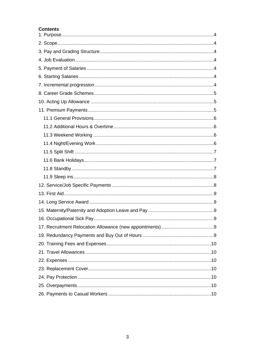#### **Contents**

<span id="page-2-0"></span>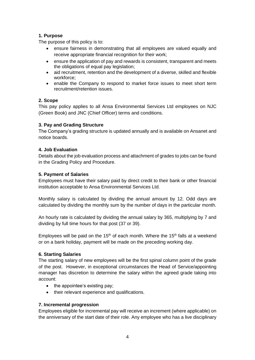# **1. Purpose**

The purpose of this policy is to:

- ensure fairness in demonstrating that all employees are valued equally and receive appropriate financial recognition for their work;
- ensure the application of pay and rewards is consistent, transparent and meets the obligations of equal pay legislation;
- aid recruitment, retention and the development of a diverse, skilled and flexible workforce;
- enable the Company to respond to market force issues to meet short term recruitment/retention issues.

## <span id="page-3-0"></span>**2. Scope**

This pay policy applies to all Ansa Environmental Services Ltd employees on NJC (Green Book) and JNC (Chief Officer) terms and conditions.

# <span id="page-3-1"></span>**3. Pay and Grading Structure**

The Company's grading structure is updated annually and is available on Ansanet and notice boards.

## <span id="page-3-2"></span>**4. Job Evaluation**

Details about the job evaluation process and attachment of grades to jobs can be found in the Grading Policy and Procedure.

## <span id="page-3-3"></span>**5. Payment of Salaries**

Employees must have their salary paid by direct credit to their bank or other financial institution acceptable to Ansa Environmental Services Ltd.

Monthly salary is calculated by dividing the annual amount by 12. Odd days are calculated by dividing the monthly sum by the number of days in the particular month.

An hourly rate is calculated by dividing the annual salary by 365, multiplying by 7 and dividing by full time hours for that post (37 or 39).

Employees will be paid on the 15<sup>th</sup> of each month. Where the 15<sup>th</sup> falls at a weekend or on a bank holiday, payment will be made on the preceding working day.

## <span id="page-3-4"></span>**6. Starting Salaries**

The starting salary of new employees will be the first spinal column point of the grade of the post. However, in exceptional circumstances the Head of Service/appointing manager has discretion to determine the salary within the agreed grade taking into account:

- the appointee's existing pay;
- their relevant experience and qualifications.

## <span id="page-3-5"></span>**7. Incremental progression**

Employees eligible for incremental pay will receive an increment (where applicable) on the anniversary of the start date of their role. Any employee who has a live disciplinary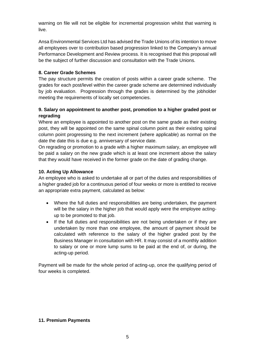warning on file will not be eligible for incremental progression whilst that warning is live.

Ansa Environmental Services Ltd has advised the Trade Unions of its intention to move all employees over to contribution based progression linked to the Company's annual Performance Development and Review process. It is recognised that this proposal will be the subject of further discussion and consultation with the Trade Unions.

## <span id="page-4-0"></span>**8. Career Grade Schemes**

The pay structure permits the creation of posts within a career grade scheme. The grades for each post/level within the career grade scheme are determined individually by job evaluation. Progression through the grades is determined by the jobholder meeting the requirements of locally set competencies.

# **9. Salary on appointment to another post, promotion to a higher graded post or regrading**

Where an employee is appointed to another post on the same grade as their existing post, they will be appointed on the same spinal column point as their existing spinal column point progressing to the next increment (where applicable) as normal on the date the date this is due e.g. anniversary of service date.

On regrading or promotion to a grade with a higher maximum salary, an employee will be paid a salary on the new grade which is at least one increment above the salary that they would have received in the former grade on the date of grading change.

### <span id="page-4-1"></span>**10. Acting Up Allowance**

An employee who is asked to undertake all or part of the duties and responsibilities of a higher graded job for a continuous period of four weeks or more is entitled to receive an appropriate extra payment, calculated as below:

- Where the full duties and responsibilities are being undertaken, the payment will be the salary in the higher job that would apply were the employee actingup to be promoted to that job.
- If the full duties and responsibilities are not being undertaken or if they are undertaken by more than one employee, the amount of payment should be calculated with reference to the salary of the higher graded post by the Business Manager in consultation with HR. It may consist of a monthly addition to salary or one or more lump sums to be paid at the end of, or during, the acting-up period.

Payment will be made for the whole period of acting-up, once the qualifying period of four weeks is completed.

#### <span id="page-4-2"></span>**11. Premium Payments**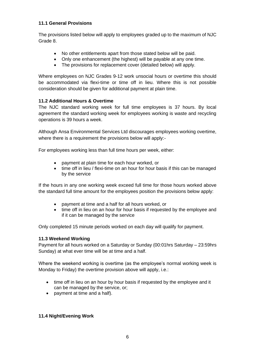## <span id="page-5-0"></span>**11.1 General Provisions**

The provisions listed below will apply to employees graded up to the maximum of NJC Grade 8.

- No other entitlements apart from those stated below will be paid.
- Only one enhancement (the highest) will be payable at any one time.
- The provisions for replacement cover (detailed below) will apply.

Where employees on NJC Grades 9-12 work unsocial hours or overtime this should be accommodated via flexi-time or time off in lieu. Where this is not possible consideration should be given for additional payment at plain time.

# <span id="page-5-1"></span>**11.2 Additional Hours & Overtime**

The NJC standard working week for full time employees is 37 hours. By local agreement the standard working week for employees working is waste and recycling operations is 39 hours a week.

Although Ansa Environmental Services Ltd discourages employees working overtime, where there is a requirement the provisions below will apply:-

For employees working less than full time hours per week, either:

- payment at plain time for each hour worked, or
- time off in lieu / flexi-time on an hour for hour basis if this can be managed by the service

If the hours in any one working week exceed full time for those hours worked above the standard full time amount for the employees position the provisions below apply:

- payment at time and a half for all hours worked, or
- time off in lieu on an hour for hour basis if requested by the employee and if it can be managed by the service

Only completed 15 minute periods worked on each day will qualify for payment.

## <span id="page-5-2"></span>**11.3 Weekend Working**

Payment for all hours worked on a Saturday or Sunday (00:01hrs Saturday – 23:59hrs Sunday) at what ever time will be at time and a half.

Where the weekend working is overtime (as the employee's normal working week is Monday to Friday) the overtime provision above will apply, i.e.:

- time off in lieu on an hour by hour basis if requested by the employee and it can be managed by the service, or;
- payment at time and a half).

## <span id="page-5-3"></span>**11.4 Night/Evening Work**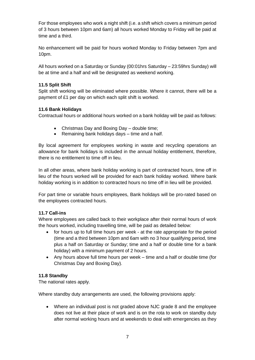For those employees who work a night shift (i.e. a shift which covers a minimum period of 3 hours between 10pm and 6am) all hours worked Monday to Friday will be paid at time and a third.

No enhancement will be paid for hours worked Monday to Friday between 7pm and 10pm.

All hours worked on a Saturday or Sunday (00:01hrs Saturday – 23:59hrs Sunday) will be at time and a half and will be designated as weekend working.

## <span id="page-6-0"></span>**11.5 Split Shift**

Split shift working will be eliminated where possible. Where it cannot, there will be a payment of £1 per day on which each split shift is worked.

### <span id="page-6-1"></span>**11.6 Bank Holidays**

Contractual hours or additional hours worked on a bank holiday will be paid as follows:

- Christmas Day and Boxing Day double time;
- Remaining bank holidays days time and a half.

By local agreement for employees working in waste and recycling operations an allowance for bank holidays is included in the annual holiday entitlement, therefore, there is no entitlement to time off in lieu.

In all other areas, where bank holiday working is part of contracted hours, time off in lieu of the hours worked will be provided for each bank holiday worked. Where bank holiday working is in addition to contracted hours no time off in lieu will be provided.

For part time or variable hours employees, Bank holidays will be pro-rated based on the employees contracted hours.

## **11.7 Call-ins**

Where employees are called back to their workplace after their normal hours of work the hours worked, including travelling time, will be paid as detailed below:

- for hours up to full time hours per week at the rate appropriate for the period (time and a third between 10pm and 6am with no 3 hour qualifying period, time plus a half on Saturday or Sunday; time and a half or double time for a bank holiday) with a minimum payment of 2 hours.
- Any hours above full time hours per week time and a half or double time (for Christmas Day and Boxing Day).

#### <span id="page-6-2"></span>**11.8 Standby**

The national rates apply.

Where standby duty arrangements are used, the following provisions apply:

• Where an individual post is not graded above NJC grade 8 and the employee does not live at their place of work and is on the rota to work on standby duty after normal working hours and at weekends to deal with emergencies as they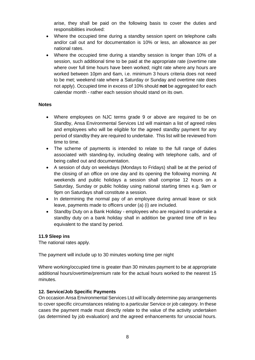arise, they shall be paid on the following basis to cover the duties and responsibilities involved:

- Where the occupied time during a standby session spent on telephone calls and/or call out and for documentation is 10% or less, an allowance as per national rates.
- Where the occupied time during a standby session is longer than 10% of a session, such additional time to be paid at the appropriate rate (overtime rate where over full time hours have been worked; night rate where any hours are worked between 10pm and 6am, i.e. minimum 3 hours criteria does not need to be met; weekend rate where a Saturday or Sunday and overtime rate does not apply). Occupied time in excess of 10% should **not** be aggregated for each calendar month - rather each session should stand on its own.

#### **Notes**

- Where employees on NJC terms grade 9 or above are required to be on Standby, Ansa Environmental Services Ltd will maintain a list of agreed roles and employees who will be eligible for the agreed standby payment for any period of standby they are required to undertake. This list will be reviewed from time to time.
- The scheme of payments is intended to relate to the full range of duties associated with standing-by, including dealing with telephone calls, and of being called out and documentation.
- A session of duty on weekdays (Mondays to Fridays) shall be at the period of the closing of an office on one day and its opening the following morning. At weekends and public holidays a session shall comprise 12 hours on a Saturday, Sunday or public holiday using national starting times e.g. 9am or 9pm on Saturdays shall constitute a session.
- In determining the normal pay of an employee during annual leave or sick leave, payments made to officers under (a) (i) are included.
- Standby Duty on a Bank Holiday employees who are required to undertake a standby duty on a bank holiday shall in addition be granted time off in lieu equivalent to the stand by period.

#### <span id="page-7-0"></span>**11.9 Sleep ins**

The national rates apply.

The payment will include up to 30 minutes working time per night

Where working/occupied time is greater than 30 minutes payment to be at appropriate additional hours/overtime/premium rate for the actual hours worked to the nearest 15 minutes.

## <span id="page-7-1"></span>**12. Service/Job Specific Payments**

On occasion Ansa Environmental Services Ltd will locally determine pay arrangements to cover specific circumstances relating to a particular Service or job category. In these cases the payment made must directly relate to the value of the activity undertaken (as determined by job evaluation) and the agreed enhancements for unsocial hours.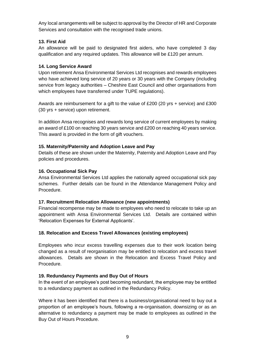Any local arrangements will be subject to approval by the Director of HR and Corporate Services and consultation with the recognised trade unions.

## <span id="page-8-0"></span>**13. First Aid**

An allowance will be paid to designated first aiders, who have completed 3 day qualification and any required updates. This allowance will be £120 per annum.

### <span id="page-8-1"></span>**14. Long Service Award**

Upon retirement Ansa Environmental Services Ltd recognises and rewards employees who have achieved long service of 20 years or 30 years with the Company (including service from legacy authorities – Cheshire East Council and other organisations from which employees have transferred under TUPE regulations).

Awards are reimbursement for a gift to the value of £200 (20 yrs + service) and £300 (30 yrs + service) upon retirement.

In addition Ansa recognises and rewards long service of current employees by making an award of £100 on reaching 30 years service and £200 on reaching 40 years service. This award is provided in the form of gift vouchers.

### <span id="page-8-2"></span>**15. Maternity/Paternity and Adoption Leave and Pay**

Details of these are shown under the Maternity, Paternity and Adoption Leave and Pay policies and procedures.

### <span id="page-8-3"></span>**16. Occupational Sick Pay**

Ansa Environmental Services Ltd applies the nationally agreed occupational sick pay schemes. Further details can be found in the Attendance Management Policy and Procedure.

#### <span id="page-8-4"></span>**17. Recruitment Relocation Allowance (new appointments)**

Financial recompense may be made to employees who need to relocate to take up an appointment with Ansa Environmental Services Ltd. Details are contained within 'Relocation Expenses for External Applicants'.

## **18. Relocation and Excess Travel Allowances (existing employees)**

Employees who incur excess travelling expenses due to their work location being changed as a result of reorganisation may be entitled to relocation and excess travel allowances. Details are shown in the Relocation and Excess Travel Policy and Procedure.

## <span id="page-8-5"></span>**19. Redundancy Payments and Buy Out of Hours**

In the event of an employee's post becoming redundant, the employee may be entitled to a redundancy payment as outlined in the Redundancy Policy.

Where it has been identified that there is a business/organisational need to buy out a proportion of an employee's hours, following a re-organisation, downsizing or as an alternative to redundancy a payment may be made to employees as outlined in the Buy Out of Hours Procedure.